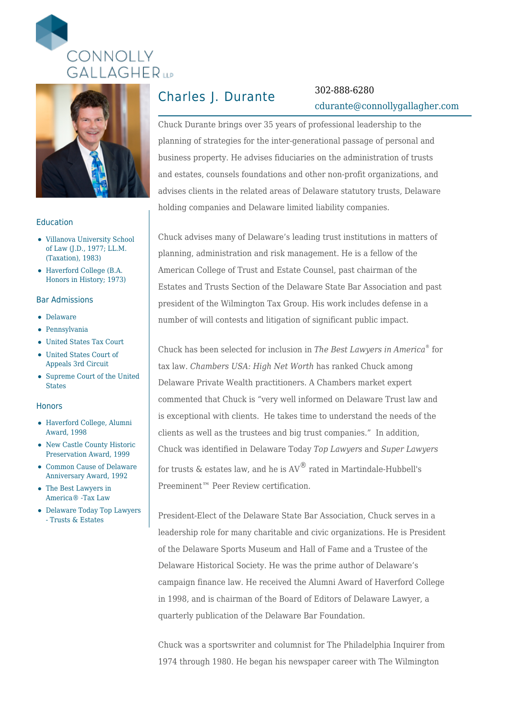



### Education

- Villanova University School of Law (J.D., 1977; LL.M. (Taxation), 1983)
- Haverford College (B.A. Honors in History; 1973)

### Bar Admissions

- Delaware
- Pennsylvania
- United States Tax Court
- United States Court of Appeals 3rd Circuit
- Supreme Court of the United States

#### Honors

- Haverford College, Alumni Award, 1998
- New Castle County Historic Preservation Award, 1999
- Common Cause of Delaware Anniversary Award, 1992
- The Best Lawyers in America® -Tax Law
- Delaware Today Top Lawyers - Trusts & Estates

# Charles J. Durante 302-888-6280

# [cdurante@connollygallagher.com](mailto:cdurante@connollygallagher.com)

Chuck Durante brings over 35 years of professional leadership to the planning of strategies for the inter-generational passage of personal and business property. He advises fiduciaries on the administration of trusts and estates, counsels foundations and other non-profit organizations, and advises clients in the related areas of Delaware statutory trusts, Delaware holding companies and Delaware limited liability companies.

Chuck advises many of Delaware's leading trust institutions in matters of planning, administration and risk management. He is a fellow of the American College of Trust and Estate Counsel, past chairman of the Estates and Trusts Section of the Delaware State Bar Association and past president of the Wilmington Tax Group. His work includes defense in a number of will contests and litigation of significant public impact.

Chuck has been selected for inclusion in *The Best Lawyers in America*® for tax law*. Chambers USA: High Net Worth* has ranked Chuck among Delaware Private Wealth practitioners. A Chambers market expert commented that Chuck is "very well informed on Delaware Trust law and is exceptional with clients. He takes time to understand the needs of the clients as well as the trustees and big trust companies." In addition, Chuck was identified in Delaware Today *Top Lawyers* and *Super Lawyers* for trusts  $\&$  estates law, and he is  $AV^{\circledR}$  rated in Martindale-Hubbell's Preeminent™ Peer Review certification.

President-Elect of the Delaware State Bar Association, Chuck serves in a leadership role for many charitable and civic organizations. He is President of the Delaware Sports Museum and Hall of Fame and a Trustee of the Delaware Historical Society. He was the prime author of Delaware's campaign finance law. He received the Alumni Award of Haverford College in 1998, and is chairman of the Board of Editors of Delaware Lawyer, a quarterly publication of the Delaware Bar Foundation.

Chuck was a sportswriter and columnist for The Philadelphia Inquirer from 1974 through 1980. He began his newspaper career with The Wilmington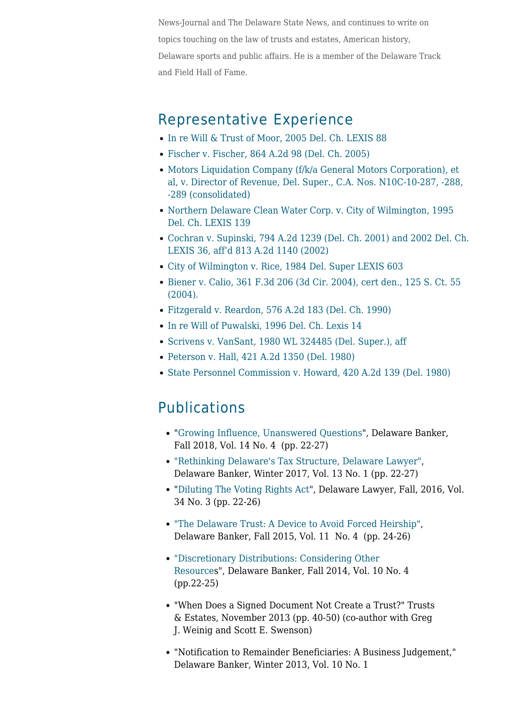News-Journal and The Delaware State News, and continues to write on topics touching on the law of trusts and estates, American history, Delaware sports and public affairs. He is a member of the Delaware Track and Field Hall of Fame.

### Representative Experience

- [In re Will & Trust of Moor, 2005 Del. Ch. LEXIS 88](https://www.connollygallagher.com/cases/in-re-will-trust-of-moor-2005-del-ch-lexis-88/)
- [Fischer v. Fischer, 864 A.2d 98 \(Del. Ch. 2005\)](https://www.connollygallagher.com/cases/fischer-v-fischer-864-a-2d-98-del-ch-2005/)
- [Motors Liquidation Company \(f/k/a General Motors Corporation\), et](https://www.connollygallagher.com/cases/motors-liquidation-company-fka-general-motors-corporation-et-al-v-director-of-revenue-del-super-c-a-nos-n10c-10-287-288-289-consolidated/) [al, v. Director of Revenue, Del. Super., C.A. Nos. N10C-10-287, -288,](https://www.connollygallagher.com/cases/motors-liquidation-company-fka-general-motors-corporation-et-al-v-director-of-revenue-del-super-c-a-nos-n10c-10-287-288-289-consolidated/) [-289 \(consolidated\)](https://www.connollygallagher.com/cases/motors-liquidation-company-fka-general-motors-corporation-et-al-v-director-of-revenue-del-super-c-a-nos-n10c-10-287-288-289-consolidated/)
- [Northern Delaware Clean Water Corp. v. City of Wilmington, 1995](https://www.connollygallagher.com/cases/northern-delaware-clean-water-corp-v-city-of-wilmington-1995-del-ch-lexis-139-2/) [Del. Ch. LEXIS 139](https://www.connollygallagher.com/cases/northern-delaware-clean-water-corp-v-city-of-wilmington-1995-del-ch-lexis-139-2/)
- [Cochran v. Supinski, 794 A.2d 1239 \(Del. Ch. 2001\) and 2002 Del. Ch.](https://www.connollygallagher.com/cases/cochran-v-supinski-794-a-2d-1239-del-ch-2001-and-2002-del-ch-lexis-36-affid-813-a-2d-1140-2002/) [LEXIS 36, aff'd 813 A.2d 1140 \(2002\)](https://www.connollygallagher.com/cases/cochran-v-supinski-794-a-2d-1239-del-ch-2001-and-2002-del-ch-lexis-36-affid-813-a-2d-1140-2002/)
- [City of Wilmington v. Rice, 1984 Del. Super LEXIS 603](https://www.connollygallagher.com/cases/city-of-wilmington-v-rice-1984-del-super-lexis-603/)
- [Biener v. Calio, 361 F.3d 206 \(3d Cir. 2004\), cert den., 125 S. Ct. 55](https://www.connollygallagher.com/cases/biener-v-calio-361-f-3d-206-3d-cir-2004-cert-den-125-s-ct-55-2004/) [\(2004\).](https://www.connollygallagher.com/cases/biener-v-calio-361-f-3d-206-3d-cir-2004-cert-den-125-s-ct-55-2004/)
- [Fitzgerald v. Reardon, 576 A.2d 183 \(Del. Ch. 1990\)](https://www.connollygallagher.com/cases/fitzgerald-v-reardon-576-a-2d-183-del-ch-1990/)
- [In re Will of Puwalski, 1996 Del. Ch. Lexis 14](https://www.connollygallagher.com/cases/in-re-will-of-puwalski-1996-del-ch-lexis-14/)
- [Scrivens v. VanSant, 1980 WL 324485 \(Del. Super.\), aff](https://www.connollygallagher.com/cases/scrivens-v-vansant-1980-wl-324485-del-super-affid-del-supr-1980/)
- [Peterson v. Hall, 421 A.2d 1350 \(Del. 1980\)](https://www.connollygallagher.com/cases/peterson-v-hall-421-a-2d-1350-del-1980/)
- [State Personnel Commission v. Howard, 420 A.2d 139 \(Del. 1980\)](https://www.connollygallagher.com/cases/state-personnel-commission-v-howard-420-a-2d-139-del-1980/)

## **Publications**

- "[Growing Influence, Unanswered Questions"](https://www.connollygallagher.com/wp-content/uploads/2018/12/Delaware_Banker_FAll2018_Vol_14_No4.pdf), Delaware Banker, Fall 2018, Vol. 14 No. 4 (pp. 22-27)
- ["Rethinking Delaware's Tax Structure, Delaware Lawyer"](https://www.connollygallagher.com/wp-content/uploads/2018/03/DeLawWinter2017-18_Durante.pdf), Delaware Banker, Winter 2017, Vol. 13 No. 1 (pp. 22-27)
- "[Diluting The Voting Rights Act"](https://www.connollygallagher.com/wp-content/uploads/2019/06/DeLawFall-Final.pdf), Delaware Lawyer, Fall, 2016, Vol. 34 No. 3 (pp. 22-26)
- ["The Delaware Trust: A Device to Avoid Forced Heirship",](https://www.connollygallagher.com/wp-content/uploads/2018/02/Delaware_Banker_Vol_11_No_4.pdf) Delaware Banker, Fall 2015, Vol. 11 No. 4 (pp. 24-26)
- ["Discretionary Distributions: Considering Other](https://www.connollygallagher.com/wp-content/uploads/2018/02/Delaware_Banker_Fall_2014_Durante-Delaware_Banker_Fall_2014_Durante.pdf1_.pdf) [Resources](https://www.connollygallagher.com/wp-content/uploads/2018/02/Delaware_Banker_Fall_2014_Durante-Delaware_Banker_Fall_2014_Durante.pdf1_.pdf)", Delaware Banker, Fall 2014, Vol. 10 No. 4 (pp.22-25)
- "When Does a Signed Document Not Create a Trust?" Trusts & Estates, November 2013 (pp. 40-50) (co-author with Greg J. Weinig and Scott E. Swenson)
- "Notification to Remainder Beneficiaries: A Business Judgement," Delaware Banker, Winter 2013, Vol. 10 No. 1